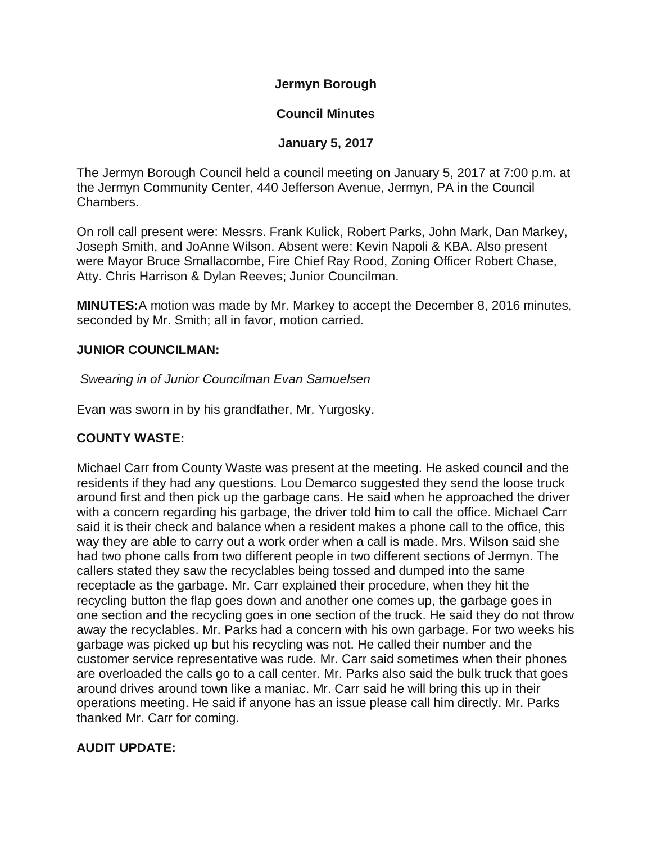**Jermyn Borough**

### **Council Minutes**

### **January 5, 2017**

The Jermyn Borough Council held a council meeting on January 5, 2017 at 7:00 p.m. at the Jermyn Community Center, 440 Jefferson Avenue, Jermyn, PA in the Council Chambers.

On roll call present were: Messrs. Frank Kulick, Robert Parks, John Mark, Dan Markey, Joseph Smith, and JoAnne Wilson. Absent were: Kevin Napoli & KBA. Also present were Mayor Bruce Smallacombe, Fire Chief Ray Rood, Zoning Officer Robert Chase, Atty. Chris Harrison & Dylan Reeves; Junior Councilman.

**MINUTES:**A motion was made by Mr. Markey to accept the December 8, 2016 minutes, seconded by Mr. Smith; all in favor, motion carried.

### **JUNIOR COUNCILMAN:**

### *Swearing in of Junior Councilman Evan Samuelsen*

Evan was sworn in by his grandfather, Mr. Yurgosky.

## **COUNTY WASTE:**

Michael Carr from County Waste was present at the meeting. He asked council and the residents if they had any questions. Lou Demarco suggested they send the loose truck around first and then pick up the garbage cans. He said when he approached the driver with a concern regarding his garbage, the driver told him to call the office. Michael Carr said it is their check and balance when a resident makes a phone call to the office, this way they are able to carry out a work order when a call is made. Mrs. Wilson said she had two phone calls from two different people in two different sections of Jermyn. The callers stated they saw the recyclables being tossed and dumped into the same receptacle as the garbage. Mr. Carr explained their procedure, when they hit the recycling button the flap goes down and another one comes up, the garbage goes in one section and the recycling goes in one section of the truck. He said they do not throw away the recyclables. Mr. Parks had a concern with his own garbage. For two weeks his garbage was picked up but his recycling was not. He called their number and the customer service representative was rude. Mr. Carr said sometimes when their phones are overloaded the calls go to a call center. Mr. Parks also said the bulk truck that goes around drives around town like a maniac. Mr. Carr said he will bring this up in their operations meeting. He said if anyone has an issue please call him directly. Mr. Parks thanked Mr. Carr for coming.

#### **AUDIT UPDATE:**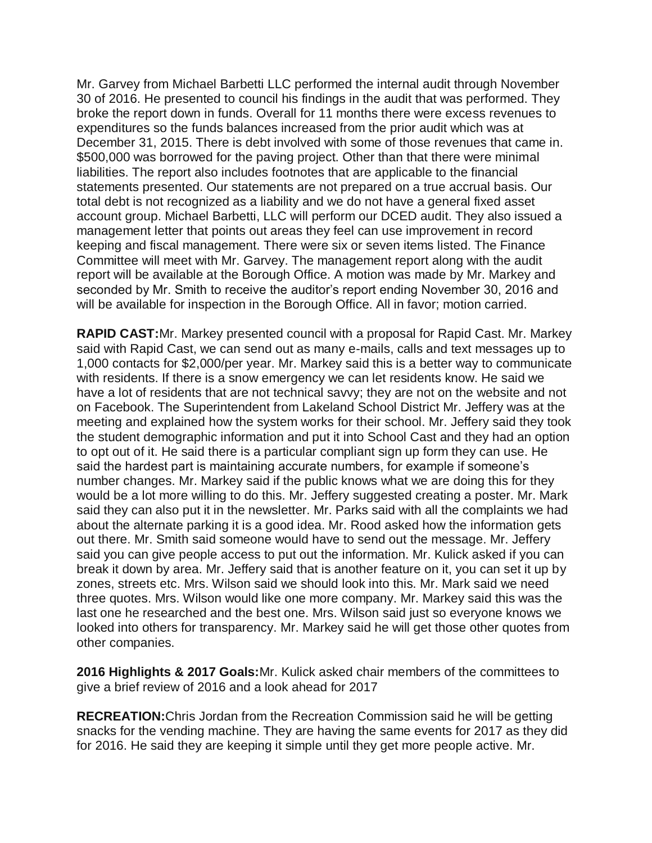Mr. Garvey from Michael Barbetti LLC performed the internal audit through November 30 of 2016. He presented to council his findings in the audit that was performed. They broke the report down in funds. Overall for 11 months there were excess revenues to expenditures so the funds balances increased from the prior audit which was at December 31, 2015. There is debt involved with some of those revenues that came in. \$500,000 was borrowed for the paving project. Other than that there were minimal liabilities. The report also includes footnotes that are applicable to the financial statements presented. Our statements are not prepared on a true accrual basis. Our total debt is not recognized as a liability and we do not have a general fixed asset account group. Michael Barbetti, LLC will perform our DCED audit. They also issued a management letter that points out areas they feel can use improvement in record keeping and fiscal management. There were six or seven items listed. The Finance Committee will meet with Mr. Garvey. The management report along with the audit report will be available at the Borough Office. A motion was made by Mr. Markey and seconded by Mr. Smith to receive the auditor's report ending November 30, 2016 and will be available for inspection in the Borough Office. All in favor; motion carried.

**RAPID CAST:**Mr. Markey presented council with a proposal for Rapid Cast. Mr. Markey said with Rapid Cast, we can send out as many e-mails, calls and text messages up to 1,000 contacts for \$2,000/per year. Mr. Markey said this is a better way to communicate with residents. If there is a snow emergency we can let residents know. He said we have a lot of residents that are not technical savvy; they are not on the website and not on Facebook. The Superintendent from Lakeland School District Mr. Jeffery was at the meeting and explained how the system works for their school. Mr. Jeffery said they took the student demographic information and put it into School Cast and they had an option to opt out of it. He said there is a particular compliant sign up form they can use. He said the hardest part is maintaining accurate numbers, for example if someone's number changes. Mr. Markey said if the public knows what we are doing this for they would be a lot more willing to do this. Mr. Jeffery suggested creating a poster. Mr. Mark said they can also put it in the newsletter. Mr. Parks said with all the complaints we had about the alternate parking it is a good idea. Mr. Rood asked how the information gets out there. Mr. Smith said someone would have to send out the message. Mr. Jeffery said you can give people access to put out the information. Mr. Kulick asked if you can break it down by area. Mr. Jeffery said that is another feature on it, you can set it up by zones, streets etc. Mrs. Wilson said we should look into this. Mr. Mark said we need three quotes. Mrs. Wilson would like one more company. Mr. Markey said this was the last one he researched and the best one. Mrs. Wilson said just so everyone knows we looked into others for transparency. Mr. Markey said he will get those other quotes from other companies.

**2016 Highlights & 2017 Goals:**Mr. Kulick asked chair members of the committees to give a brief review of 2016 and a look ahead for 2017

**RECREATION:**Chris Jordan from the Recreation Commission said he will be getting snacks for the vending machine. They are having the same events for 2017 as they did for 2016. He said they are keeping it simple until they get more people active. Mr.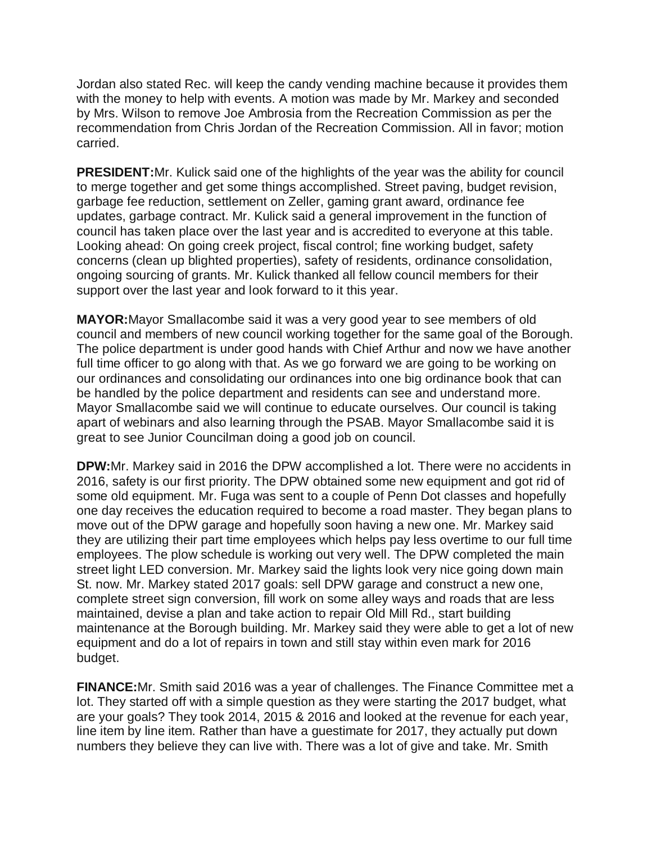Jordan also stated Rec. will keep the candy vending machine because it provides them with the money to help with events. A motion was made by Mr. Markey and seconded by Mrs. Wilson to remove Joe Ambrosia from the Recreation Commission as per the recommendation from Chris Jordan of the Recreation Commission. All in favor; motion carried.

**PRESIDENT:**Mr. Kulick said one of the highlights of the year was the ability for council to merge together and get some things accomplished. Street paving, budget revision, garbage fee reduction, settlement on Zeller, gaming grant award, ordinance fee updates, garbage contract. Mr. Kulick said a general improvement in the function of council has taken place over the last year and is accredited to everyone at this table. Looking ahead: On going creek project, fiscal control; fine working budget, safety concerns (clean up blighted properties), safety of residents, ordinance consolidation, ongoing sourcing of grants. Mr. Kulick thanked all fellow council members for their support over the last year and look forward to it this year.

**MAYOR:**Mayor Smallacombe said it was a very good year to see members of old council and members of new council working together for the same goal of the Borough. The police department is under good hands with Chief Arthur and now we have another full time officer to go along with that. As we go forward we are going to be working on our ordinances and consolidating our ordinances into one big ordinance book that can be handled by the police department and residents can see and understand more. Mayor Smallacombe said we will continue to educate ourselves. Our council is taking apart of webinars and also learning through the PSAB. Mayor Smallacombe said it is great to see Junior Councilman doing a good job on council.

**DPW:**Mr. Markey said in 2016 the DPW accomplished a lot. There were no accidents in 2016, safety is our first priority. The DPW obtained some new equipment and got rid of some old equipment. Mr. Fuga was sent to a couple of Penn Dot classes and hopefully one day receives the education required to become a road master. They began plans to move out of the DPW garage and hopefully soon having a new one. Mr. Markey said they are utilizing their part time employees which helps pay less overtime to our full time employees. The plow schedule is working out very well. The DPW completed the main street light LED conversion. Mr. Markey said the lights look very nice going down main St. now. Mr. Markey stated 2017 goals: sell DPW garage and construct a new one, complete street sign conversion, fill work on some alley ways and roads that are less maintained, devise a plan and take action to repair Old Mill Rd., start building maintenance at the Borough building. Mr. Markey said they were able to get a lot of new equipment and do a lot of repairs in town and still stay within even mark for 2016 budget.

**FINANCE:**Mr. Smith said 2016 was a year of challenges. The Finance Committee met a lot. They started off with a simple question as they were starting the 2017 budget, what are your goals? They took 2014, 2015 & 2016 and looked at the revenue for each year, line item by line item. Rather than have a guestimate for 2017, they actually put down numbers they believe they can live with. There was a lot of give and take. Mr. Smith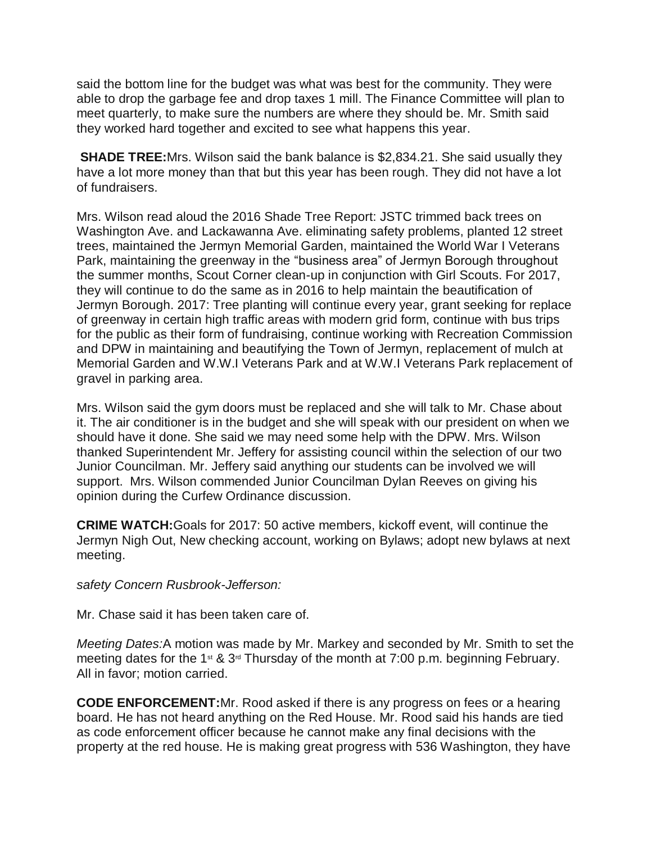said the bottom line for the budget was what was best for the community. They were able to drop the garbage fee and drop taxes 1 mill. The Finance Committee will plan to meet quarterly, to make sure the numbers are where they should be. Mr. Smith said they worked hard together and excited to see what happens this year.

**SHADE TREE:**Mrs. Wilson said the bank balance is \$2,834.21. She said usually they have a lot more money than that but this year has been rough. They did not have a lot of fundraisers.

Mrs. Wilson read aloud the 2016 Shade Tree Report: JSTC trimmed back trees on Washington Ave. and Lackawanna Ave. eliminating safety problems, planted 12 street trees, maintained the Jermyn Memorial Garden, maintained the World War I Veterans Park, maintaining the greenway in the "business area" of Jermyn Borough throughout the summer months, Scout Corner clean-up in conjunction with Girl Scouts. For 2017, they will continue to do the same as in 2016 to help maintain the beautification of Jermyn Borough. 2017: Tree planting will continue every year, grant seeking for replace of greenway in certain high traffic areas with modern grid form, continue with bus trips for the public as their form of fundraising, continue working with Recreation Commission and DPW in maintaining and beautifying the Town of Jermyn, replacement of mulch at Memorial Garden and W.W.I Veterans Park and at W.W.I Veterans Park replacement of gravel in parking area.

Mrs. Wilson said the gym doors must be replaced and she will talk to Mr. Chase about it. The air conditioner is in the budget and she will speak with our president on when we should have it done. She said we may need some help with the DPW. Mrs. Wilson thanked Superintendent Mr. Jeffery for assisting council within the selection of our two Junior Councilman. Mr. Jeffery said anything our students can be involved we will support. Mrs. Wilson commended Junior Councilman Dylan Reeves on giving his opinion during the Curfew Ordinance discussion.

**CRIME WATCH:**Goals for 2017: 50 active members, kickoff event, will continue the Jermyn Nigh Out, New checking account, working on Bylaws; adopt new bylaws at next meeting.

*safety Concern Rusbrook-Jefferson:*

Mr. Chase said it has been taken care of.

*Meeting Dates:*A motion was made by Mr. Markey and seconded by Mr. Smith to set the meeting dates for the 1<sup>st</sup> & 3<sup>rd</sup> Thursday of the month at 7:00 p.m. beginning February. All in favor; motion carried.

**CODE ENFORCEMENT:**Mr. Rood asked if there is any progress on fees or a hearing board. He has not heard anything on the Red House. Mr. Rood said his hands are tied as code enforcement officer because he cannot make any final decisions with the property at the red house. He is making great progress with 536 Washington, they have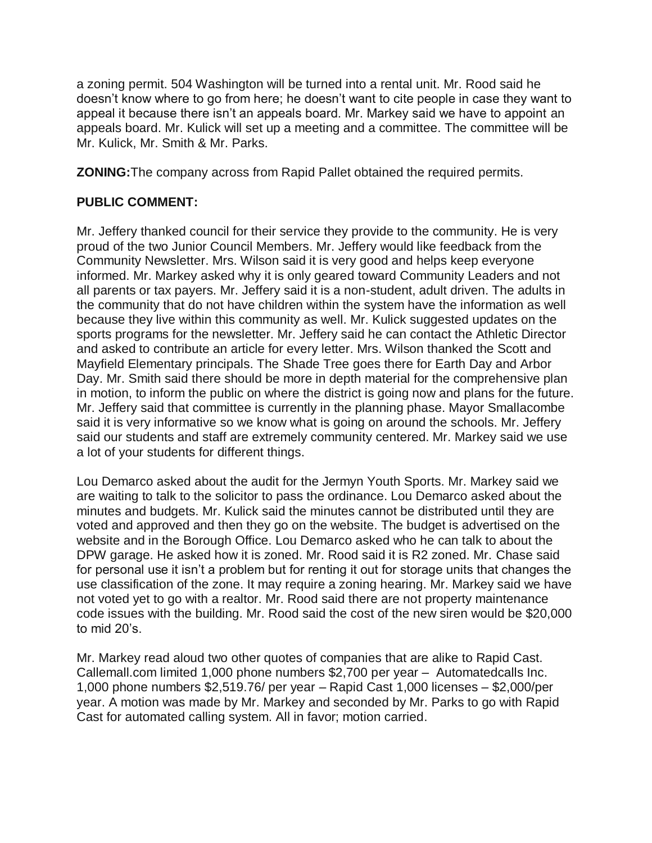a zoning permit. 504 Washington will be turned into a rental unit. Mr. Rood said he doesn't know where to go from here; he doesn't want to cite people in case they want to appeal it because there isn't an appeals board. Mr. Markey said we have to appoint an appeals board. Mr. Kulick will set up a meeting and a committee. The committee will be Mr. Kulick, Mr. Smith & Mr. Parks.

**ZONING:**The company across from Rapid Pallet obtained the required permits.

# **PUBLIC COMMENT:**

Mr. Jeffery thanked council for their service they provide to the community. He is very proud of the two Junior Council Members. Mr. Jeffery would like feedback from the Community Newsletter. Mrs. Wilson said it is very good and helps keep everyone informed. Mr. Markey asked why it is only geared toward Community Leaders and not all parents or tax payers. Mr. Jeffery said it is a non-student, adult driven. The adults in the community that do not have children within the system have the information as well because they live within this community as well. Mr. Kulick suggested updates on the sports programs for the newsletter. Mr. Jeffery said he can contact the Athletic Director and asked to contribute an article for every letter. Mrs. Wilson thanked the Scott and Mayfield Elementary principals. The Shade Tree goes there for Earth Day and Arbor Day. Mr. Smith said there should be more in depth material for the comprehensive plan in motion, to inform the public on where the district is going now and plans for the future. Mr. Jeffery said that committee is currently in the planning phase. Mayor Smallacombe said it is very informative so we know what is going on around the schools. Mr. Jeffery said our students and staff are extremely community centered. Mr. Markey said we use a lot of your students for different things.

Lou Demarco asked about the audit for the Jermyn Youth Sports. Mr. Markey said we are waiting to talk to the solicitor to pass the ordinance. Lou Demarco asked about the minutes and budgets. Mr. Kulick said the minutes cannot be distributed until they are voted and approved and then they go on the website. The budget is advertised on the website and in the Borough Office. Lou Demarco asked who he can talk to about the DPW garage. He asked how it is zoned. Mr. Rood said it is R2 zoned. Mr. Chase said for personal use it isn't a problem but for renting it out for storage units that changes the use classification of the zone. It may require a zoning hearing. Mr. Markey said we have not voted yet to go with a realtor. Mr. Rood said there are not property maintenance code issues with the building. Mr. Rood said the cost of the new siren would be \$20,000 to mid 20's.

Mr. Markey read aloud two other quotes of companies that are alike to Rapid Cast. Callemall.com limited 1,000 phone numbers \$2,700 per year – Automatedcalls Inc. 1,000 phone numbers \$2,519.76/ per year – Rapid Cast 1,000 licenses – \$2,000/per year. A motion was made by Mr. Markey and seconded by Mr. Parks to go with Rapid Cast for automated calling system. All in favor; motion carried.